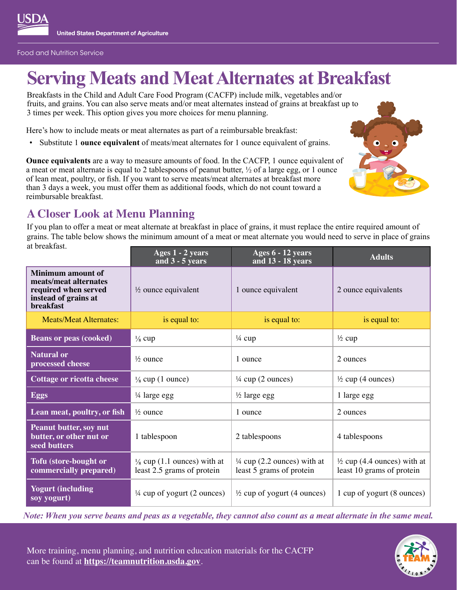

# **Serving Meats and Meat Alternates at Breakfast**

Breakfasts in the Child and Adult Care Food Program (CACFP) include milk, vegetables and/or fruits, and grains. You can also serve meats and/or meat alternates instead of grains at breakfast up to 3 times per week. This option gives you more choices for menu planning.

Here's how to include meats or meat alternates as part of a reimbursable breakfast:

• Substitute 1 **ounce equivalent** of meats/meat alternates for 1 ounce equivalent of grains.

**Ounce equivalents** are a way to measure amounts of food. In the CACFP, 1 ounce equivalent of a meat or meat alternate is equal to 2 tablespoons of peanut butter, ½ of a large egg, or 1 ounce of lean meat, poultry, or fish. If you want to serve meats/meat alternates at breakfast more than 3 days a week, you must offer them as additional foods, which do not count toward a reimbursable breakfast.



## **A Closer Look at Menu Planning**

If you plan to offer a meat or meat alternate at breakfast in place of grains, it must replace the entire required amount of grains. The table below shows the minimum amount of a meat or meat alternate you would need to serve in place of grains at breakfast.

|                                                                                                                       | Ages 1 - 2 years<br>and $3 - 5$ years                                | Ages 6 - 12 years<br>and 13 - 18 years                             | <b>Adults</b>                                                       |
|-----------------------------------------------------------------------------------------------------------------------|----------------------------------------------------------------------|--------------------------------------------------------------------|---------------------------------------------------------------------|
| <b>Minimum amount of</b><br>meats/meat alternates<br>required when served<br>instead of grains at<br><b>breakfast</b> | $\frac{1}{2}$ ounce equivalent                                       | 1 ounce equivalent                                                 | 2 ounce equivalents                                                 |
| <b>Meats/Meat Alternates:</b>                                                                                         | is equal to:                                                         | is equal to:                                                       | is equal to:                                                        |
| <b>Beans or peas (cooked)</b>                                                                                         | $\frac{1}{8}$ cup                                                    | $\frac{1}{4}$ cup                                                  | $\frac{1}{2}$ cup                                                   |
| <b>Natural or</b><br>processed cheese                                                                                 | $\frac{1}{2}$ ounce                                                  | 1 ounce                                                            | 2 ounces                                                            |
| <b>Cottage or ricotta cheese</b>                                                                                      | $\frac{1}{8}$ cup (1 ounce)                                          | $\frac{1}{4}$ cup (2 ounces)                                       | $\frac{1}{2}$ cup (4 ounces)                                        |
| <b>Eggs</b>                                                                                                           | 1⁄4 large egg                                                        | $\frac{1}{2}$ large egg                                            | 1 large egg                                                         |
| Lean meat, poultry, or fish                                                                                           | $\frac{1}{2}$ ounce                                                  | 1 ounce                                                            | 2 ounces                                                            |
| <b>Peanut butter, soy nut</b><br>butter, or other nut or<br>seed butters                                              | 1 tablespoon                                                         | 2 tablespoons                                                      | 4 tablespoons                                                       |
| Tofu (store-bought or<br>commercially prepared)                                                                       | $\frac{1}{8}$ cup (1.1 ounces) with at<br>least 2.5 grams of protein | $\frac{1}{4}$ cup (2.2 ounces) with at<br>least 5 grams of protein | $\frac{1}{2}$ cup (4.4 ounces) with at<br>least 10 grams of protein |
| <b>Yogurt (including</b><br>soy yogurt)                                                                               | $\frac{1}{4}$ cup of yogurt (2 ounces)                               | $\frac{1}{2}$ cup of yogurt (4 ounces)                             | 1 cup of yogurt (8 ounces)                                          |

*Note: When you serve beans and peas as a vegetable, they cannot also count as a meat alternate in the same meal.*